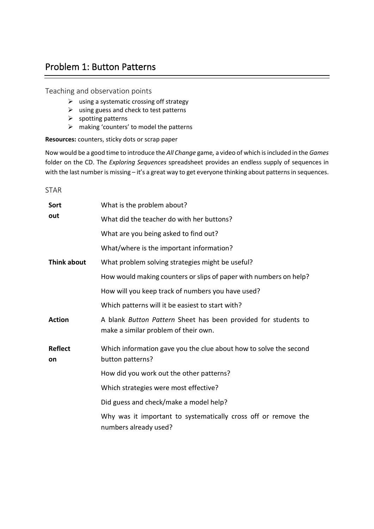## Problem 1: Button Patterns

Teaching and observation points

- $\triangleright$  using a systematic crossing off strategy
- $\triangleright$  using guess and check to test patterns
- $\triangleright$  spotting patterns
- $\triangleright$  making 'counters' to model the patterns

**Resources:** counters, sticky dots or scrap paper

Now would be a good time to introduce the *All Change* game*,* a video of which is included in the *Games* folder on the CD. The *Exploring Sequences* spreadsheet provides an endless supply of sequences in with the last number is missing – it's a great way to get everyone thinking about patterns in sequences.

STAR

| Sort                 | What is the problem about?                                                                             |
|----------------------|--------------------------------------------------------------------------------------------------------|
| out                  | What did the teacher do with her buttons?                                                              |
|                      | What are you being asked to find out?                                                                  |
|                      | What/where is the important information?                                                               |
| Think about          | What problem solving strategies might be useful?                                                       |
|                      | How would making counters or slips of paper with numbers on help?                                      |
|                      | How will you keep track of numbers you have used?                                                      |
|                      | Which patterns will it be easiest to start with?                                                       |
| <b>Action</b>        | A blank Button Pattern Sheet has been provided for students to<br>make a similar problem of their own. |
| <b>Reflect</b><br>on | Which information gave you the clue about how to solve the second<br>button patterns?                  |
|                      | How did you work out the other patterns?                                                               |
|                      | Which strategies were most effective?                                                                  |
|                      | Did guess and check/make a model help?                                                                 |
|                      | Why was it important to systematically cross off or remove the<br>numbers already used?                |